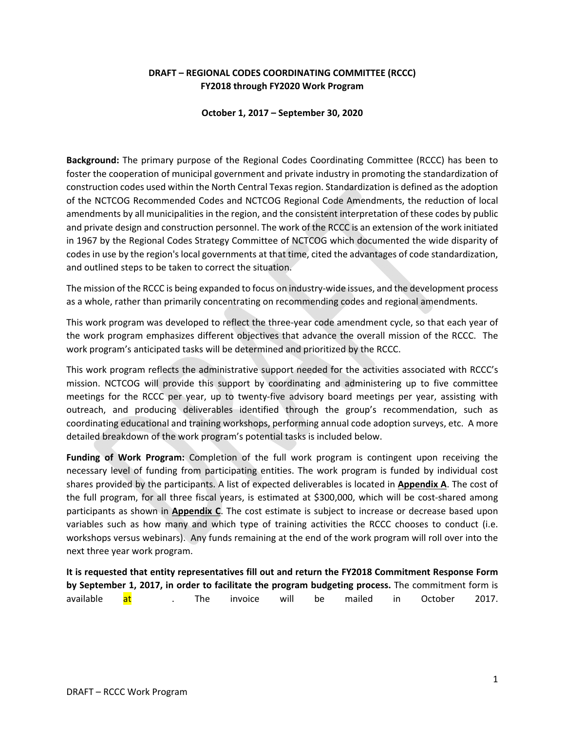# **DRAFT – REGIONAL CODES COORDINATING COMMITTEE (RCCC) FY2018 through FY2020 Work Program**

**October 1, 2017 – September 30, 2020** 

**Background:** The primary purpose of the Regional Codes Coordinating Committee (RCCC) has been to foster the cooperation of municipal government and private industry in promoting the standardization of construction codes used within the North Central Texas region. Standardization is defined as the adoption of the NCTCOG Recommended Codes and NCTCOG Regional Code Amendments, the reduction of local amendments by all municipalities in the region, and the consistent interpretation of these codes by public and private design and construction personnel. The work of the RCCC is an extension of the work initiated in 1967 by the Regional Codes Strategy Committee of NCTCOG which documented the wide disparity of codes in use by the region's local governments at that time, cited the advantages of code standardization, and outlined steps to be taken to correct the situation.

The mission of the RCCC is being expanded to focus on industry‐wide issues, and the development process as a whole, rather than primarily concentrating on recommending codes and regional amendments.

This work program was developed to reflect the three-year code amendment cycle, so that each year of the work program emphasizes different objectives that advance the overall mission of the RCCC. The work program's anticipated tasks will be determined and prioritized by the RCCC.

This work program reflects the administrative support needed for the activities associated with RCCC's mission. NCTCOG will provide this support by coordinating and administering up to five committee meetings for the RCCC per year, up to twenty-five advisory board meetings per year, assisting with outreach, and producing deliverables identified through the group's recommendation, such as coordinating educational and training workshops, performing annual code adoption surveys, etc. A more detailed breakdown of the work program's potential tasks is included below.

**Funding of Work Program:** Completion of the full work program is contingent upon receiving the necessary level of funding from participating entities. The work program is funded by individual cost shares provided by the participants. A list of expected deliverables is located in **Appendix A**. The cost of the full program, for all three fiscal years, is estimated at \$300,000, which will be cost-shared among participants as shown in **Appendix C**. The cost estimate is subject to increase or decrease based upon variables such as how many and which type of training activities the RCCC chooses to conduct (i.e. workshops versus webinars). Any funds remaining at the end of the work program will roll over into the next three year work program.

**It is requested that entity representatives fill out and return the FY2018 Commitment Response Form by September 1, 2017, in order to facilitate the program budgeting process.** The commitment form is available <mark>at</mark> . The invoice will be mailed in October 2017.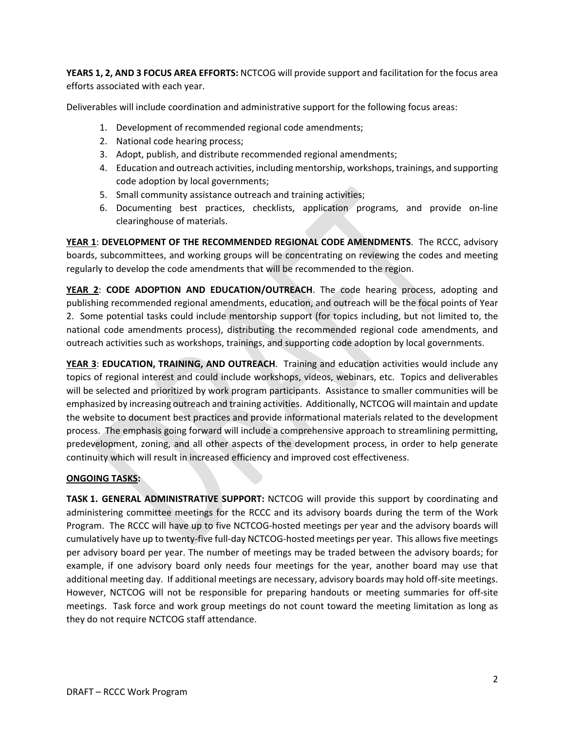**YEARS 1, 2, AND 3 FOCUS AREA EFFORTS:** NCTCOG will provide support and facilitation for the focus area efforts associated with each year.

Deliverables will include coordination and administrative support for the following focus areas:

- 1. Development of recommended regional code amendments;
- 2. National code hearing process;
- 3. Adopt, publish, and distribute recommended regional amendments;
- 4. Education and outreach activities, including mentorship, workshops, trainings, and supporting code adoption by local governments;
- 5. Small community assistance outreach and training activities;
- 6. Documenting best practices, checklists, application programs, and provide on-line clearinghouse of materials.

**YEAR 1**: **DEVELOPMENT OF THE RECOMMENDED REGIONAL CODE AMENDMENTS**. The RCCC, advisory boards, subcommittees, and working groups will be concentrating on reviewing the codes and meeting regularly to develop the code amendments that will be recommended to the region.

**YEAR 2**: **CODE ADOPTION AND EDUCATION/OUTREACH**. The code hearing process, adopting and publishing recommended regional amendments, education, and outreach will be the focal points of Year 2. Some potential tasks could include mentorship support (for topics including, but not limited to, the national code amendments process), distributing the recommended regional code amendments, and outreach activities such as workshops, trainings, and supporting code adoption by local governments.

**YEAR 3**: **EDUCATION, TRAINING, AND OUTREACH**. Training and education activities would include any topics of regional interest and could include workshops, videos, webinars, etc. Topics and deliverables will be selected and prioritized by work program participants. Assistance to smaller communities will be emphasized by increasing outreach and training activities. Additionally, NCTCOG will maintain and update the website to document best practices and provide informational materials related to the development process. The emphasis going forward will include a comprehensive approach to streamlining permitting, predevelopment, zoning, and all other aspects of the development process, in order to help generate continuity which will result in increased efficiency and improved cost effectiveness.

# **ONGOING TASKS:**

**TASK 1. GENERAL ADMINISTRATIVE SUPPORT:** NCTCOG will provide this support by coordinating and administering committee meetings for the RCCC and its advisory boards during the term of the Work Program. The RCCC will have up to five NCTCOG‐hosted meetings per year and the advisory boards will cumulatively have up to twenty‐five full‐day NCTCOG‐hosted meetings per year. This allowsfive meetings per advisory board per year. The number of meetings may be traded between the advisory boards; for example, if one advisory board only needs four meetings for the year, another board may use that additional meeting day. If additional meetings are necessary, advisory boards may hold off‐site meetings. However, NCTCOG will not be responsible for preparing handouts or meeting summaries for off-site meetings. Task force and work group meetings do not count toward the meeting limitation as long as they do not require NCTCOG staff attendance.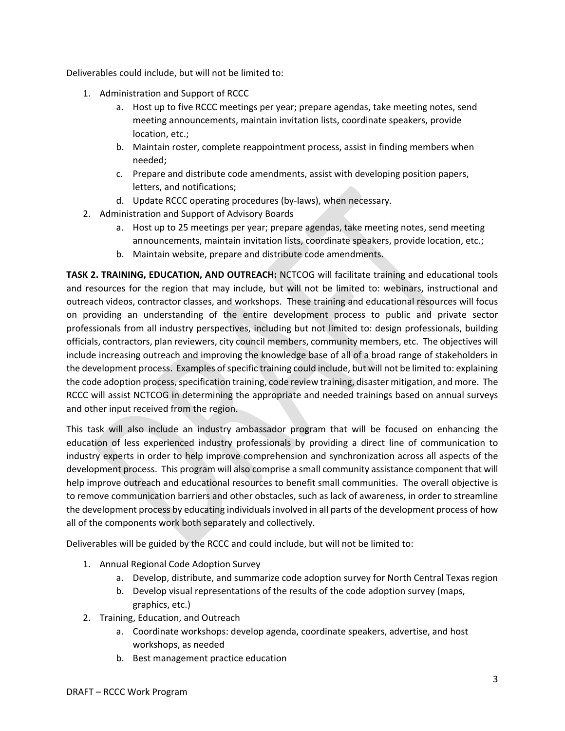Deliverables could include, but will not be limited to:

- 1. Administration and Support of RCCC
	- a. Host up to five RCCC meetings per year; prepare agendas, take meeting notes, send meeting announcements, maintain invitation lists, coordinate speakers, provide location, etc.;
	- b. Maintain roster, complete reappointment process, assist in finding members when needed;
	- c. Prepare and distribute code amendments, assist with developing position papers, letters, and notifications;
	- d. Update RCCC operating procedures (by‐laws), when necessary.
- 2. Administration and Support of Advisory Boards
	- a. Host up to 25 meetings per year; prepare agendas, take meeting notes, send meeting announcements, maintain invitation lists, coordinate speakers, provide location, etc.;
	- b. Maintain website, prepare and distribute code amendments.

**TASK 2. TRAINING, EDUCATION, AND OUTREACH:** NCTCOG will facilitate training and educational tools and resources for the region that may include, but will not be limited to: webinars, instructional and outreach videos, contractor classes, and workshops. These training and educational resources will focus on providing an understanding of the entire development process to public and private sector professionals from all industry perspectives, including but not limited to: design professionals, building officials, contractors, plan reviewers, city council members, community members, etc. The objectives will include increasing outreach and improving the knowledge base of all of a broad range of stakeholders in the development process. Examples of specific training could include, but will not be limited to: explaining the code adoption process, specification training, code review training, disaster mitigation, and more. The RCCC will assist NCTCOG in determining the appropriate and needed trainings based on annual surveys and other input received from the region.

This task will also include an industry ambassador program that will be focused on enhancing the education of less experienced industry professionals by providing a direct line of communication to industry experts in order to help improve comprehension and synchronization across all aspects of the development process. This program will also comprise a small community assistance component that will help improve outreach and educational resources to benefit small communities. The overall objective is to remove communication barriers and other obstacles, such as lack of awareness, in order to streamline the development process by educating individuals involved in all parts of the development process of how all of the components work both separately and collectively.

Deliverables will be guided by the RCCC and could include, but will not be limited to:

- 1. Annual Regional Code Adoption Survey
	- a. Develop, distribute, and summarize code adoption survey for North Central Texas region
	- b. Develop visual representations of the results of the code adoption survey (maps, graphics, etc.)
- 2. Training, Education, and Outreach
	- a. Coordinate workshops: develop agenda, coordinate speakers, advertise, and host workshops, as needed
	- b. Best management practice education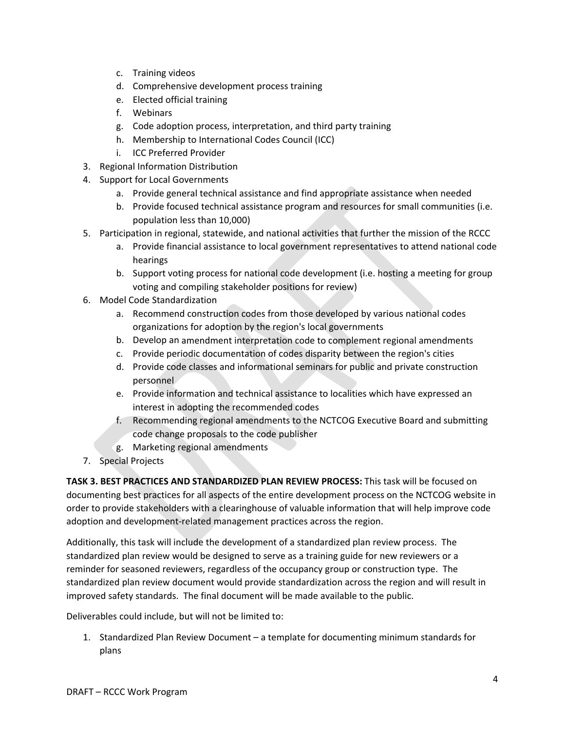- c. Training videos
- d. Comprehensive development process training
- e. Elected official training
- f. Webinars
- g. Code adoption process, interpretation, and third party training
- h. Membership to International Codes Council (ICC)
- i. ICC Preferred Provider
- 3. Regional Information Distribution
- 4. Support for Local Governments
	- a. Provide general technical assistance and find appropriate assistance when needed
	- b. Provide focused technical assistance program and resources for small communities (i.e. population less than 10,000)
- 5. Participation in regional, statewide, and national activities that further the mission of the RCCC
	- a. Provide financial assistance to local government representatives to attend national code hearings
	- b. Support voting process for national code development (i.e. hosting a meeting for group voting and compiling stakeholder positions for review)
- 6. Model Code Standardization
	- a. Recommend construction codes from those developed by various national codes organizations for adoption by the region's local governments
	- b. Develop an amendment interpretation code to complement regional amendments
	- c. Provide periodic documentation of codes disparity between the region's cities
	- d. Provide code classes and informational seminars for public and private construction personnel
	- e. Provide information and technical assistance to localities which have expressed an interest in adopting the recommended codes
	- f. Recommending regional amendments to the NCTCOG Executive Board and submitting code change proposals to the code publisher
	- g. Marketing regional amendments
- 7. Special Projects

**TASK 3. BEST PRACTICES AND STANDARDIZED PLAN REVIEW PROCESS:** This task will be focused on documenting best practices for all aspects of the entire development process on the NCTCOG website in order to provide stakeholders with a clearinghouse of valuable information that will help improve code adoption and development‐related management practices across the region.

Additionally, this task will include the development of a standardized plan review process. The standardized plan review would be designed to serve as a training guide for new reviewers or a reminder for seasoned reviewers, regardless of the occupancy group or construction type. The standardized plan review document would provide standardization across the region and will result in improved safety standards. The final document will be made available to the public.

Deliverables could include, but will not be limited to:

1. Standardized Plan Review Document – a template for documenting minimum standards for plans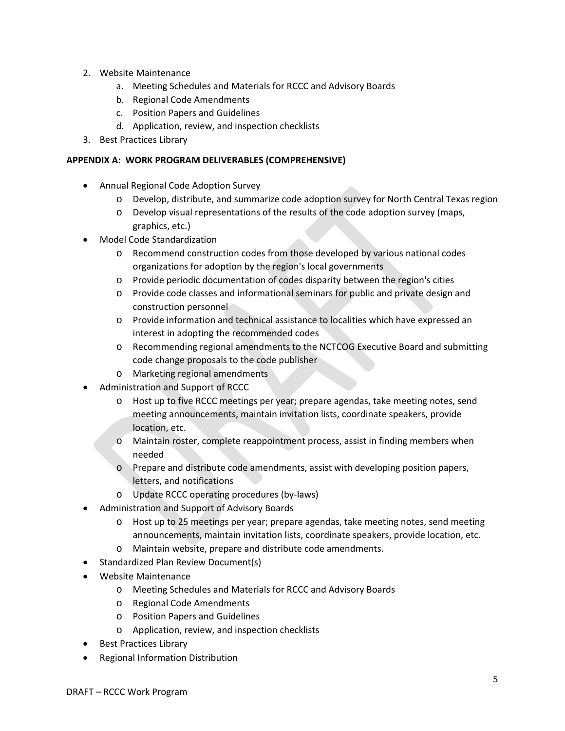- 2. Website Maintenance
	- a. Meeting Schedules and Materials for RCCC and Advisory Boards
	- b. Regional Code Amendments
	- c. Position Papers and Guidelines
	- d. Application, review, and inspection checklists
- 3. Best Practices Library

#### **APPENDIX A: WORK PROGRAM DELIVERABLES (COMPREHENSIVE)**

- Annual Regional Code Adoption Survey
	- o Develop, distribute, and summarize code adoption survey for North Central Texas region
	- o Develop visual representations of the results of the code adoption survey (maps, graphics, etc.)
- Model Code Standardization
	- o Recommend construction codes from those developed by various national codes organizations for adoption by the region's local governments
	- o Provide periodic documentation of codes disparity between the region's cities
	- o Provide code classes and informational seminars for public and private design and construction personnel
	- o Provide information and technical assistance to localities which have expressed an interest in adopting the recommended codes
	- o Recommending regional amendments to the NCTCOG Executive Board and submitting code change proposals to the code publisher
	- o Marketing regional amendments
- Administration and Support of RCCC
	- o Host up to five RCCC meetings per year; prepare agendas, take meeting notes, send meeting announcements, maintain invitation lists, coordinate speakers, provide location, etc.
	- o Maintain roster, complete reappointment process, assist in finding members when needed
	- o Prepare and distribute code amendments, assist with developing position papers, letters, and notifications
	- o Update RCCC operating procedures (by‐laws)
- Administration and Support of Advisory Boards
	- o Host up to 25 meetings per year; prepare agendas, take meeting notes, send meeting announcements, maintain invitation lists, coordinate speakers, provide location, etc.
	- o Maintain website, prepare and distribute code amendments.
- Standardized Plan Review Document(s)
- Website Maintenance
	- o Meeting Schedules and Materials for RCCC and Advisory Boards
	- o Regional Code Amendments
	- o Position Papers and Guidelines
	- o Application, review, and inspection checklists
- Best Practices Library
- Regional Information Distribution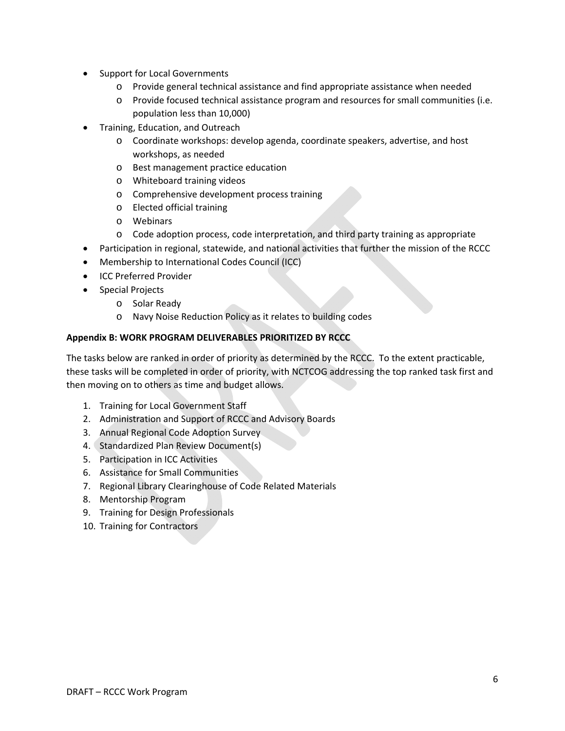- Support for Local Governments
	- o Provide general technical assistance and find appropriate assistance when needed
	- o Provide focused technical assistance program and resources for small communities (i.e. population less than 10,000)
- Training, Education, and Outreach
	- o Coordinate workshops: develop agenda, coordinate speakers, advertise, and host workshops, as needed
	- o Best management practice education
	- o Whiteboard training videos
	- o Comprehensive development process training
	- o Elected official training
	- o Webinars
	- o Code adoption process, code interpretation, and third party training as appropriate
- Participation in regional, statewide, and national activities that further the mission of the RCCC
- Membership to International Codes Council (ICC)
- **•** ICC Preferred Provider
- Special Projects
	- o Solar Ready
	- o Navy Noise Reduction Policy as it relates to building codes

# **Appendix B: WORK PROGRAM DELIVERABLES PRIORITIZED BY RCCC**

The tasks below are ranked in order of priority as determined by the RCCC. To the extent practicable, these tasks will be completed in order of priority, with NCTCOG addressing the top ranked task first and then moving on to others as time and budget allows.

- 1. Training for Local Government Staff
- 2. Administration and Support of RCCC and Advisory Boards
- 3. Annual Regional Code Adoption Survey
- 4. Standardized Plan Review Document(s)
- 5. Participation in ICC Activities
- 6. Assistance for Small Communities
- 7. Regional Library Clearinghouse of Code Related Materials
- 8. Mentorship Program
- 9. Training for Design Professionals
- 10. Training for Contractors